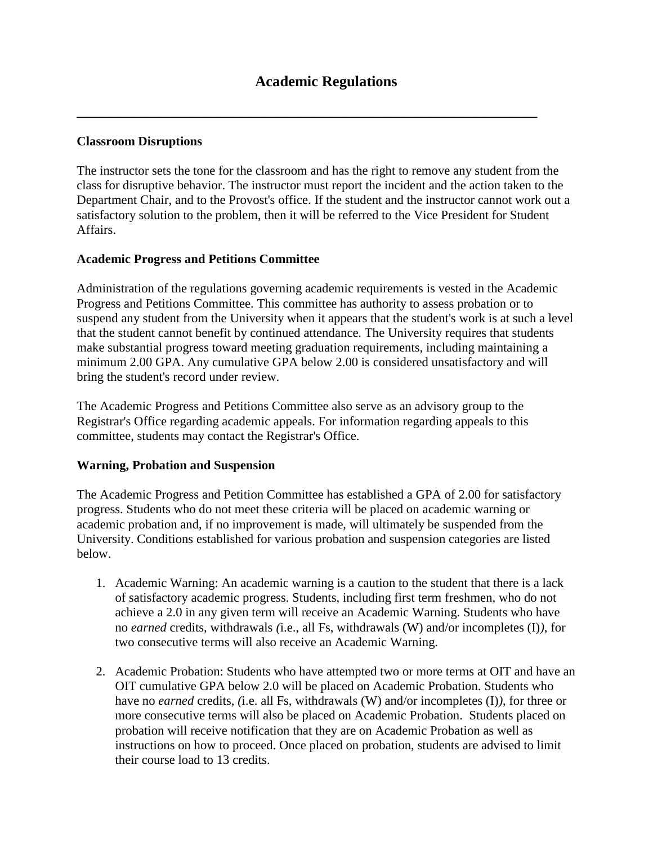**\_\_\_\_\_\_\_\_\_\_\_\_\_\_\_\_\_\_\_\_\_\_\_\_\_\_\_\_\_\_\_\_\_\_\_\_\_\_\_\_\_\_\_\_\_\_\_\_\_\_\_\_\_\_\_\_\_\_\_\_\_\_\_\_\_\_\_\_\_\_\_\_**

## **Classroom Disruptions**

The instructor sets the tone for the classroom and has the right to remove any student from the class for disruptive behavior. The instructor must report the incident and the action taken to the Department Chair, and to the Provost's office. If the student and the instructor cannot work out a satisfactory solution to the problem, then it will be referred to the Vice President for Student Affairs.

## **Academic Progress and Petitions Committee**

Administration of the regulations governing academic requirements is vested in the Academic Progress and Petitions Committee. This committee has authority to assess probation or to suspend any student from the University when it appears that the student's work is at such a level that the student cannot benefit by continued attendance. The University requires that students make substantial progress toward meeting graduation requirements, including maintaining a minimum 2.00 GPA. Any cumulative GPA below 2.00 is considered unsatisfactory and will bring the student's record under review.

The Academic Progress and Petitions Committee also serve as an advisory group to the Registrar's Office regarding academic appeals. For information regarding appeals to this committee, students may contact the Registrar's Office.

## **Warning, Probation and Suspension**

The Academic Progress and Petition Committee has established a GPA of 2.00 for satisfactory progress. Students who do not meet these criteria will be placed on academic warning or academic probation and, if no improvement is made, will ultimately be suspended from the University. Conditions established for various probation and suspension categories are listed below.

- 1. Academic Warning: An academic warning is a caution to the student that there is a lack of satisfactory academic progress. Students, including first term freshmen, who do not achieve a 2.0 in any given term will receive an Academic Warning. Students who have no *earned* credits, withdrawals *(*i.e., all Fs, withdrawals (W) and/or incompletes (I)*)*, for two consecutive terms will also receive an Academic Warning.
- 2. Academic Probation: Students who have attempted two or more terms at OIT and have an OIT cumulative GPA below 2.0 will be placed on Academic Probation. Students who have no *earned* credits, *(*i.e. all Fs, withdrawals (W) and/or incompletes (I)*)*, for three or more consecutive terms will also be placed on Academic Probation. Students placed on probation will receive notification that they are on Academic Probation as well as instructions on how to proceed. Once placed on probation, students are advised to limit their course load to 13 credits.